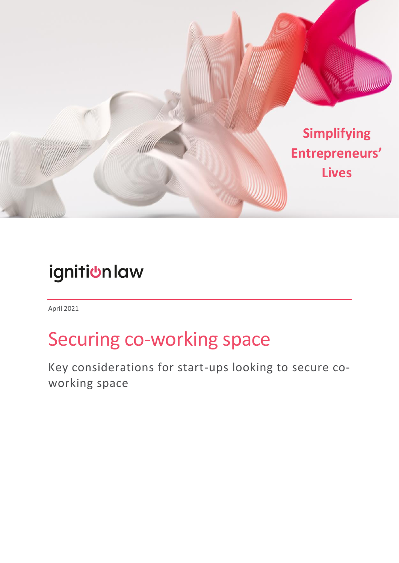

## ignitiunlaw

April 2021

# Securing co-working space

Key considerations for start-ups looking to secure coworking space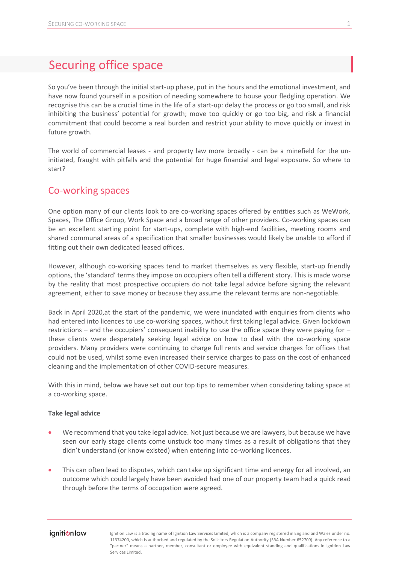### Securing office space

So you've been through the initial start-up phase, put in the hours and the emotional investment, and have now found yourself in a position of needing somewhere to house your fledgling operation. We recognise this can be a crucial time in the life of a start-up: delay the process or go too small, and risk inhibiting the business' potential for growth; move too quickly or go too big, and risk a financial commitment that could become a real burden and restrict your ability to move quickly or invest in future growth.

The world of commercial leases - and property law more broadly - can be a minefield for the uninitiated, fraught with pitfalls and the potential for huge financial and legal exposure. So where to start?

### Co-working spaces

One option many of our clients look to are co-working spaces offered by entities such as WeWork, Spaces, The Office Group, Work Space and a broad range of other providers. Co-working spaces can be an excellent starting point for start-ups, complete with high-end facilities, meeting rooms and shared communal areas of a specification that smaller businesses would likely be unable to afford if fitting out their own dedicated leased offices.

However, although co-working spaces tend to market themselves as very flexible, start-up friendly options, the 'standard' terms they impose on occupiers often tell a different story. This is made worse by the reality that most prospective occupiers do not take legal advice before signing the relevant agreement, either to save money or because they assume the relevant terms are non-negotiable.

Back in April 2020,at the start of the pandemic, we were inundated with enquiries from clients who had entered into licences to use co-working spaces, without first taking legal advice. Given lockdown restrictions – and the occupiers' consequent inability to use the office space they were paying for – these clients were desperately seeking legal advice on how to deal with the co-working space providers. Many providers were continuing to charge full rents and service charges for offices that could not be used, whilst some even increased their service charges to pass on the cost of enhanced cleaning and the implementation of other COVID-secure measures.

With this in mind, below we have set out our top tips to remember when considering taking space at a co-working space.

#### **Take legal advice**

- We recommend that you take legal advice. Not just because we are lawyers, but because we have seen our early stage clients come unstuck too many times as a result of obligations that they didn't understand (or know existed) when entering into co-working licences.
- This can often lead to disputes, which can take up significant time and energy for all involved, an outcome which could largely have been avoided had one of our property team had a quick read through before the terms of occupation were agreed.

#### ignition law

Ignition Law is a trading name of Ignition Law Services Limited, which is a company registered in England and Wales under no. 11374200, which is authorised and regulated by the Solicitors Regulation Authority (SRA Number 652709). Any reference to a "partner" means a partner, member, consultant or employee with equivalent standing and qualifications in Ignition Law Services Limited.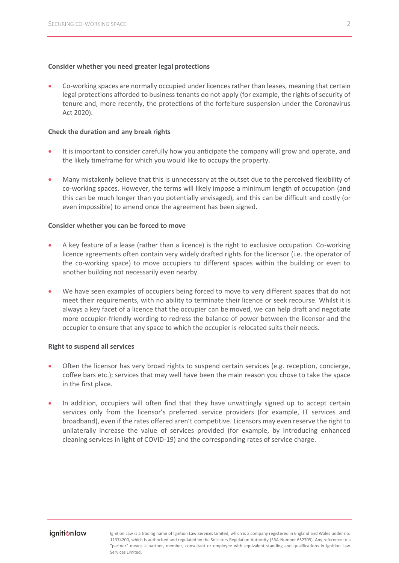#### **Consider whether you need greater legal protections**

• Co-working spaces are normally occupied under licences rather than leases, meaning that certain legal protections afforded to business tenants do not apply (for example, the rights of security of tenure and, more recently, the protections of the forfeiture suspension under the Coronavirus Act 2020).

#### **Check the duration and any break rights**

- It is important to consider carefully how you anticipate the company will grow and operate, and the likely timeframe for which you would like to occupy the property.
- Many mistakenly believe that this is unnecessary at the outset due to the perceived flexibility of co-working spaces. However, the terms will likely impose a minimum length of occupation (and this can be much longer than you potentially envisaged), and this can be difficult and costly (or even impossible) to amend once the agreement has been signed.

#### **Consider whether you can be forced to move**

- A key feature of a lease (rather than a licence) is the right to exclusive occupation. Co-working licence agreements often contain very widely drafted rights for the licensor (i.e. the operator of the co-working space) to move occupiers to different spaces within the building or even to another building not necessarily even nearby.
- We have seen examples of occupiers being forced to move to very different spaces that do not meet their requirements, with no ability to terminate their licence or seek recourse. Whilst it is always a key facet of a licence that the occupier can be moved, we can help draft and negotiate more occupier-friendly wording to redress the balance of power between the licensor and the occupier to ensure that any space to which the occupier is relocated suits their needs.

#### **Right to suspend all services**

- Often the licensor has very broad rights to suspend certain services (e.g. reception, concierge, coffee bars etc.); services that may well have been the main reason you chose to take the space in the first place.
- In addition, occupiers will often find that they have unwittingly signed up to accept certain services only from the licensor's preferred service providers (for example, IT services and broadband), even if the rates offered aren't competitive. Licensors may even reserve the right to unilaterally increase the value of services provided (for example, by introducing enhanced cleaning services in light of COVID-19) and the corresponding rates of service charge.

Ignition Law is a trading name of Ignition Law Services Limited, which is a company registered in England and Wales under no. 11374200, which is authorised and regulated by the Solicitors Regulation Authority (SRA Number 652709). Any reference to a "partner" means a partner, member, consultant or employee with equivalent standing and qualifications in Ignition Law Services Limited.